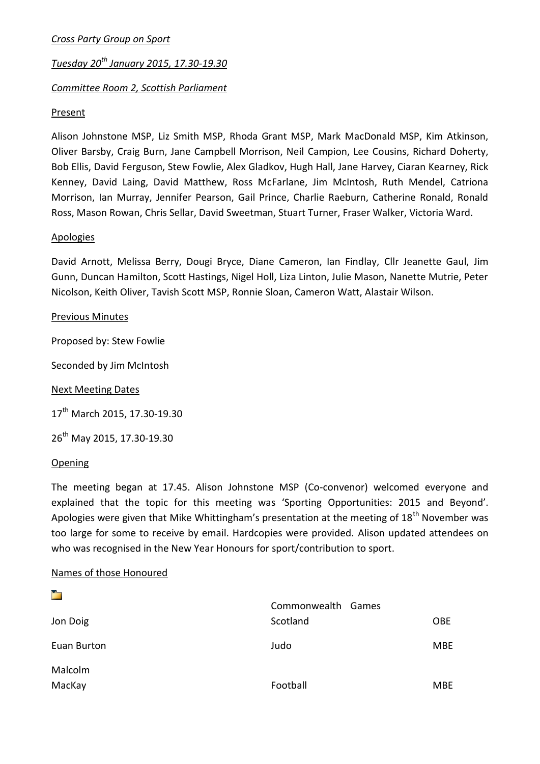## *Cross Party Group on Sport*

# *Tuesday 20th January 2015, 17.30-19.30*

# *Committee Room 2, Scottish Parliament*

#### **Present**

Alison Johnstone MSP, Liz Smith MSP, Rhoda Grant MSP, Mark MacDonald MSP, Kim Atkinson, Oliver Barsby, Craig Burn, Jane Campbell Morrison, Neil Campion, Lee Cousins, Richard Doherty, Bob Ellis, David Ferguson, Stew Fowlie, Alex Gladkov, Hugh Hall, Jane Harvey, Ciaran Kearney, Rick Kenney, David Laing, David Matthew, Ross McFarlane, Jim McIntosh, Ruth Mendel, Catriona Morrison, Ian Murray, Jennifer Pearson, Gail Prince, Charlie Raeburn, Catherine Ronald, Ronald Ross, Mason Rowan, Chris Sellar, David Sweetman, Stuart Turner, Fraser Walker, Victoria Ward.

#### Apologies

David Arnott, Melissa Berry, Dougi Bryce, Diane Cameron, Ian Findlay, Cllr Jeanette Gaul, Jim Gunn, Duncan Hamilton, Scott Hastings, Nigel Holl, Liza Linton, Julie Mason, Nanette Mutrie, Peter Nicolson, Keith Oliver, Tavish Scott MSP, Ronnie Sloan, Cameron Watt, Alastair Wilson.

#### Previous Minutes

Proposed by: Stew Fowlie

Seconded by Jim McIntosh

Next Meeting Dates

17<sup>th</sup> March 2015, 17.30-19.30

26th May 2015, 17.30-19.30

#### **Opening**

ta.

The meeting began at 17.45. Alison Johnstone MSP (Co-convenor) welcomed everyone and explained that the topic for this meeting was 'Sporting Opportunities: 2015 and Beyond'. Apologies were given that Mike Whittingham's presentation at the meeting of  $18^{th}$  November was too large for some to receive by email. Hardcopies were provided. Alison updated attendees on who was recognised in the New Year Honours for sport/contribution to sport.

### Names of those Honoured

|             | Commonwealth Games |            |
|-------------|--------------------|------------|
| Jon Doig    | Scotland           | <b>OBE</b> |
| Euan Burton | Judo               | <b>MBE</b> |
| Malcolm     |                    |            |
| MacKay      | Football           | <b>MBE</b> |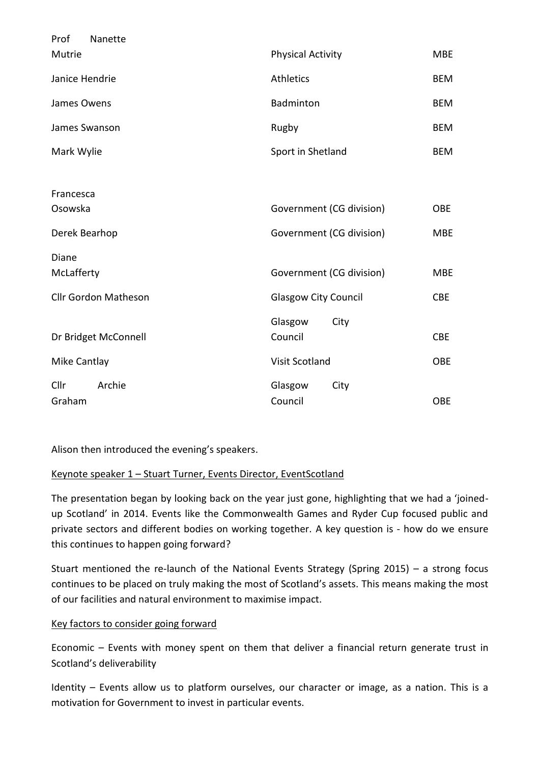| Prof<br>Nanette             |                             |            |
|-----------------------------|-----------------------------|------------|
| Mutrie                      | <b>Physical Activity</b>    | <b>MBE</b> |
| Janice Hendrie              | <b>Athletics</b>            | <b>BEM</b> |
| James Owens                 | Badminton                   | <b>BEM</b> |
| James Swanson               | Rugby                       | <b>BEM</b> |
| Mark Wylie                  | Sport in Shetland           | <b>BEM</b> |
|                             |                             |            |
| Francesca                   |                             |            |
| Osowska                     | Government (CG division)    | <b>OBE</b> |
| Derek Bearhop               | Government (CG division)    | <b>MBE</b> |
| Diane                       |                             |            |
| McLafferty                  | Government (CG division)    | <b>MBE</b> |
| <b>Cllr Gordon Matheson</b> | <b>Glasgow City Council</b> | <b>CBE</b> |
|                             | City                        |            |
|                             | Glasgow                     |            |
| Dr Bridget McConnell        | Council                     | <b>CBE</b> |
| Mike Cantlay                | <b>Visit Scotland</b>       | <b>OBE</b> |
| Cllr<br>Archie              | Glasgow<br>City             |            |
| Graham                      | Council                     | <b>OBE</b> |
|                             |                             |            |

Alison then introduced the evening's speakers.

# Keynote speaker 1 – Stuart Turner, Events Director, EventScotland

The presentation began by looking back on the year just gone, highlighting that we had a 'joinedup Scotland' in 2014. Events like the Commonwealth Games and Ryder Cup focused public and private sectors and different bodies on working together. A key question is - how do we ensure this continues to happen going forward?

Stuart mentioned the re-launch of the National Events Strategy (Spring 2015) – a strong focus continues to be placed on truly making the most of Scotland's assets. This means making the most of our facilities and natural environment to maximise impact.

# Key factors to consider going forward

Economic – Events with money spent on them that deliver a financial return generate trust in Scotland's deliverability

Identity – Events allow us to platform ourselves, our character or image, as a nation. This is a motivation for Government to invest in particular events.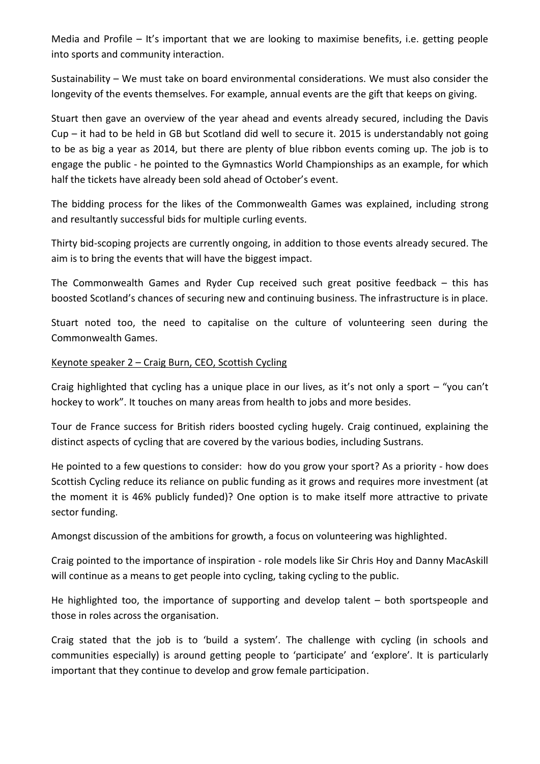Media and Profile – It's important that we are looking to maximise benefits, i.e. getting people into sports and community interaction.

Sustainability – We must take on board environmental considerations. We must also consider the longevity of the events themselves. For example, annual events are the gift that keeps on giving.

Stuart then gave an overview of the year ahead and events already secured, including the Davis Cup – it had to be held in GB but Scotland did well to secure it. 2015 is understandably not going to be as big a year as 2014, but there are plenty of blue ribbon events coming up. The job is to engage the public - he pointed to the Gymnastics World Championships as an example, for which half the tickets have already been sold ahead of October's event.

The bidding process for the likes of the Commonwealth Games was explained, including strong and resultantly successful bids for multiple curling events.

Thirty bid-scoping projects are currently ongoing, in addition to those events already secured. The aim is to bring the events that will have the biggest impact.

The Commonwealth Games and Ryder Cup received such great positive feedback – this has boosted Scotland's chances of securing new and continuing business. The infrastructure is in place.

Stuart noted too, the need to capitalise on the culture of volunteering seen during the Commonwealth Games.

### Keynote speaker 2 – Craig Burn, CEO, Scottish Cycling

Craig highlighted that cycling has a unique place in our lives, as it's not only a sport – "you can't hockey to work". It touches on many areas from health to jobs and more besides.

Tour de France success for British riders boosted cycling hugely. Craig continued, explaining the distinct aspects of cycling that are covered by the various bodies, including Sustrans.

He pointed to a few questions to consider: how do you grow your sport? As a priority - how does Scottish Cycling reduce its reliance on public funding as it grows and requires more investment (at the moment it is 46% publicly funded)? One option is to make itself more attractive to private sector funding.

Amongst discussion of the ambitions for growth, a focus on volunteering was highlighted.

Craig pointed to the importance of inspiration - role models like Sir Chris Hoy and Danny MacAskill will continue as a means to get people into cycling, taking cycling to the public.

He highlighted too, the importance of supporting and develop talent – both sportspeople and those in roles across the organisation.

Craig stated that the job is to 'build a system'. The challenge with cycling (in schools and communities especially) is around getting people to 'participate' and 'explore'. It is particularly important that they continue to develop and grow female participation.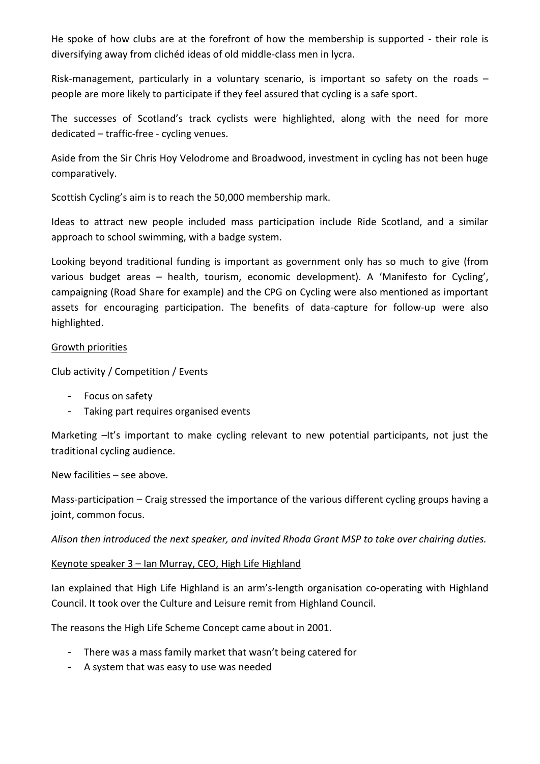He spoke of how clubs are at the forefront of how the membership is supported - their role is diversifying away from clichéd ideas of old middle-class men in lycra.

Risk-management, particularly in a voluntary scenario, is important so safety on the roads  $$ people are more likely to participate if they feel assured that cycling is a safe sport.

The successes of Scotland's track cyclists were highlighted, along with the need for more dedicated – traffic-free - cycling venues.

Aside from the Sir Chris Hoy Velodrome and Broadwood, investment in cycling has not been huge comparatively.

Scottish Cycling's aim is to reach the 50,000 membership mark.

Ideas to attract new people included mass participation include Ride Scotland, and a similar approach to school swimming, with a badge system.

Looking beyond traditional funding is important as government only has so much to give (from various budget areas – health, tourism, economic development). A 'Manifesto for Cycling', campaigning (Road Share for example) and the CPG on Cycling were also mentioned as important assets for encouraging participation. The benefits of data-capture for follow-up were also highlighted.

### Growth priorities

Club activity / Competition / Events

- Focus on safety
- Taking part requires organised events

Marketing  $-It's important to make cycling relevant to new potential participants, not just the$ traditional cycling audience.

New facilities – see above.

Mass-participation – Craig stressed the importance of the various different cycling groups having a joint, common focus.

*Alison then introduced the next speaker, and invited Rhoda Grant MSP to take over chairing duties.*

### Keynote speaker 3 – Ian Murray, CEO, High Life Highland

Ian explained that High Life Highland is an arm's-length organisation co-operating with Highland Council. It took over the Culture and Leisure remit from Highland Council.

The reasons the High Life Scheme Concept came about in 2001.

- There was a mass family market that wasn't being catered for
- A system that was easy to use was needed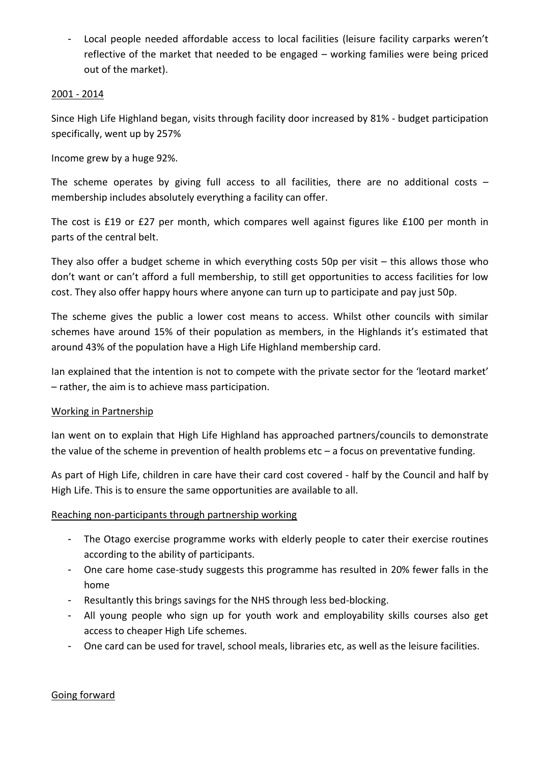- Local people needed affordable access to local facilities (leisure facility carparks weren't reflective of the market that needed to be engaged – working families were being priced out of the market).

# 2001 - 2014

Since High Life Highland began, visits through facility door increased by 81% - budget participation specifically, went up by 257%

Income grew by a huge 92%.

The scheme operates by giving full access to all facilities, there are no additional costs  $$ membership includes absolutely everything a facility can offer.

The cost is £19 or £27 per month, which compares well against figures like £100 per month in parts of the central belt.

They also offer a budget scheme in which everything costs 50p per visit – this allows those who don't want or can't afford a full membership, to still get opportunities to access facilities for low cost. They also offer happy hours where anyone can turn up to participate and pay just 50p.

The scheme gives the public a lower cost means to access. Whilst other councils with similar schemes have around 15% of their population as members, in the Highlands it's estimated that around 43% of the population have a High Life Highland membership card.

Ian explained that the intention is not to compete with the private sector for the 'leotard market' – rather, the aim is to achieve mass participation.

# Working in Partnership

Ian went on to explain that High Life Highland has approached partners/councils to demonstrate the value of the scheme in prevention of health problems etc – a focus on preventative funding.

As part of High Life, children in care have their card cost covered - half by the Council and half by High Life. This is to ensure the same opportunities are available to all.

# Reaching non-participants through partnership working

- The Otago exercise programme works with elderly people to cater their exercise routines according to the ability of participants.
- One care home case-study suggests this programme has resulted in 20% fewer falls in the home
- Resultantly this brings savings for the NHS through less bed-blocking.
- All young people who sign up for youth work and employability skills courses also get access to cheaper High Life schemes.
- One card can be used for travel, school meals, libraries etc, as well as the leisure facilities.

# Going forward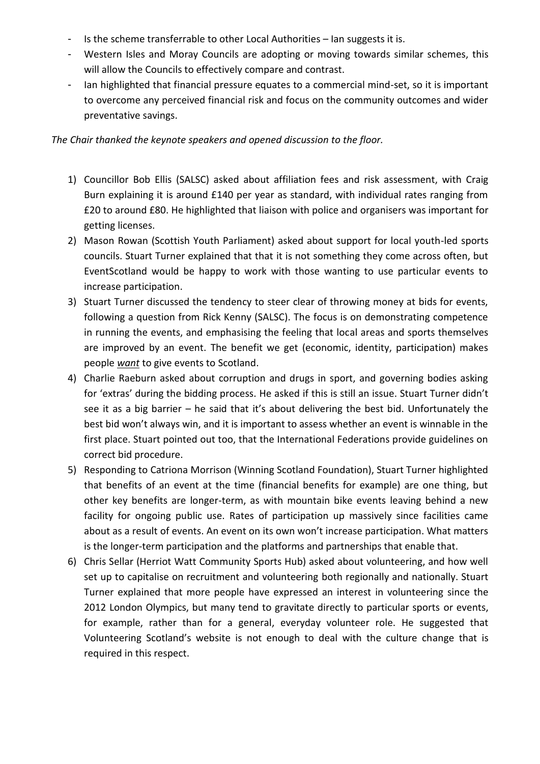- Is the scheme transferrable to other Local Authorities Ian suggests it is.
- Western Isles and Moray Councils are adopting or moving towards similar schemes, this will allow the Councils to effectively compare and contrast.
- Ian highlighted that financial pressure equates to a commercial mind-set, so it is important to overcome any perceived financial risk and focus on the community outcomes and wider preventative savings.

### *The Chair thanked the keynote speakers and opened discussion to the floor.*

- 1) Councillor Bob Ellis (SALSC) asked about affiliation fees and risk assessment, with Craig Burn explaining it is around £140 per year as standard, with individual rates ranging from £20 to around £80. He highlighted that liaison with police and organisers was important for getting licenses.
- 2) Mason Rowan (Scottish Youth Parliament) asked about support for local youth-led sports councils. Stuart Turner explained that that it is not something they come across often, but EventScotland would be happy to work with those wanting to use particular events to increase participation.
- 3) Stuart Turner discussed the tendency to steer clear of throwing money at bids for events, following a question from Rick Kenny (SALSC). The focus is on demonstrating competence in running the events, and emphasising the feeling that local areas and sports themselves are improved by an event. The benefit we get (economic, identity, participation) makes people *want* to give events to Scotland.
- 4) Charlie Raeburn asked about corruption and drugs in sport, and governing bodies asking for 'extras' during the bidding process. He asked if this is still an issue. Stuart Turner didn't see it as a big barrier – he said that it's about delivering the best bid. Unfortunately the best bid won't always win, and it is important to assess whether an event is winnable in the first place. Stuart pointed out too, that the International Federations provide guidelines on correct bid procedure.
- 5) Responding to Catriona Morrison (Winning Scotland Foundation), Stuart Turner highlighted that benefits of an event at the time (financial benefits for example) are one thing, but other key benefits are longer-term, as with mountain bike events leaving behind a new facility for ongoing public use. Rates of participation up massively since facilities came about as a result of events. An event on its own won't increase participation. What matters is the longer-term participation and the platforms and partnerships that enable that.
- 6) Chris Sellar (Herriot Watt Community Sports Hub) asked about volunteering, and how well set up to capitalise on recruitment and volunteering both regionally and nationally. Stuart Turner explained that more people have expressed an interest in volunteering since the 2012 London Olympics, but many tend to gravitate directly to particular sports or events, for example, rather than for a general, everyday volunteer role. He suggested that Volunteering Scotland's website is not enough to deal with the culture change that is required in this respect.